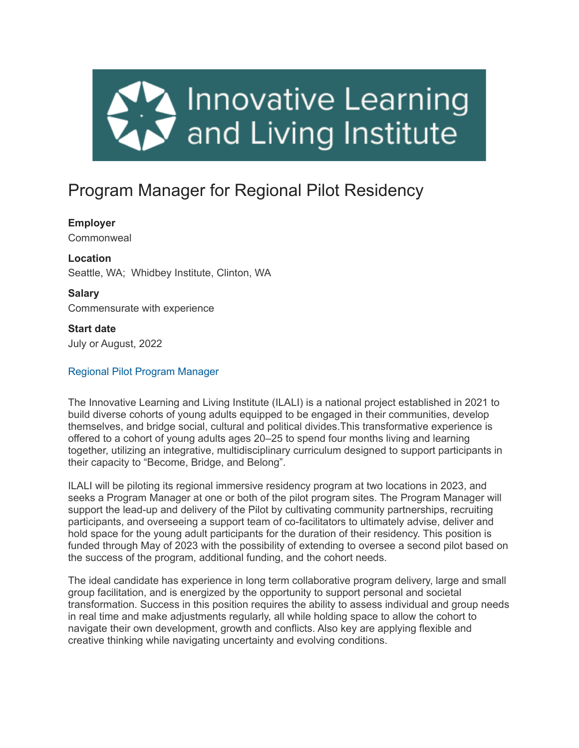

# Program Manager for Regional Pilot Residency

## **Employer**

**Commonweal** 

**Location** Seattle, WA; Whidbey Institute, Clinton, WA

**Salary** Commensurate with experience

**Start date** July or August, 2022

# Regional Pilot Program Manager

The Innovative Learning and Living Institute (ILALI) is a national project established in 2021 to build diverse cohorts of young adults equipped to be engaged in their communities, develop themselves, and bridge social, cultural and political divides.This transformative experience is offered to a cohort of young adults ages 20–25 to spend four months living and learning together, utilizing an integrative, multidisciplinary curriculum designed to support participants in their capacity to "Become, Bridge, and Belong".

ILALI will be piloting its regional immersive residency program at two locations in 2023, and seeks a Program Manager at one or both of the pilot program sites. The Program Manager will support the lead-up and delivery of the Pilot by cultivating community partnerships, recruiting participants, and overseeing a support team of co-facilitators to ultimately advise, deliver and hold space for the young adult participants for the duration of their residency. This position is funded through May of 2023 with the possibility of extending to oversee a second pilot based on the success of the program, additional funding, and the cohort needs.

The ideal candidate has experience in long term collaborative program delivery, large and small group facilitation, and is energized by the opportunity to support personal and societal transformation. Success in this position requires the ability to assess individual and group needs in real time and make adjustments regularly, all while holding space to allow the cohort to navigate their own development, growth and conflicts. Also key are applying flexible and creative thinking while navigating uncertainty and evolving conditions.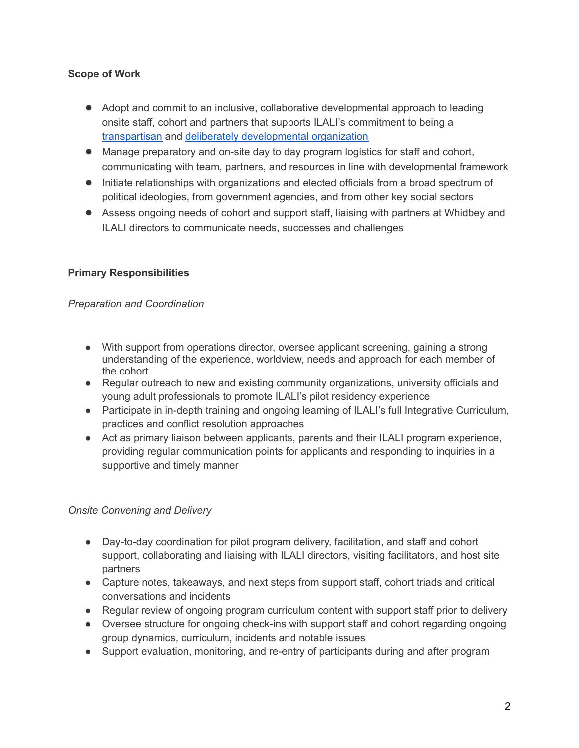# **Scope of Work**

- Adopt and commit to an inclusive, collaborative developmental approach to leading onsite staff, cohort and partners that supports ILALI's commitment to being a [transpartisan](http://mediatorsfoundation.org/resources-2/transpartisan-definition/) and deliberately [developmental](https://www.google.com/imgres?imgurl=https%3A%2F%2Ftools.syntropycenter.com%2Fwp-content%2Fuploads%2F2019%2F10%2Fddo2-diagram.jpg&imgrefurl=https%3A%2F%2Ftools.syntropycenter.com%2Fthe-ddo-process%2F&tbnid=Gcp1Jqk3CUnNkM&vet=12ahUKEwir7IHH6K_4AhWEAc0KHUpOAbUQMygLegUIARCvAQ..i&docid=GdrmUXDs8_R9kM&w=720&h=447&q=deliberately%20developmental%20organization&ved=2ahUKEwir7IHH6K_4AhWEAc0KHUpOAbUQMygLegUIARCvAQ) organization
- Manage preparatory and on-site day to day program logistics for staff and cohort, communicating with team, partners, and resources in line with developmental framework
- Initiate relationships with organizations and elected officials from a broad spectrum of political ideologies, from government agencies, and from other key social sectors
- Assess ongoing needs of cohort and support staff, liaising with partners at Whidbey and ILALI directors to communicate needs, successes and challenges

# **Primary Responsibilities**

## *Preparation and Coordination*

- With support from operations director, oversee applicant screening, gaining a strong understanding of the experience, worldview, needs and approach for each member of the cohort
- Regular outreach to new and existing community organizations, university officials and young adult professionals to promote ILALI's pilot residency experience
- Participate in in-depth training and ongoing learning of ILALI's full Integrative Curriculum, practices and conflict resolution approaches
- Act as primary liaison between applicants, parents and their ILALI program experience, providing regular communication points for applicants and responding to inquiries in a supportive and timely manner

### *Onsite Convening and Delivery*

- Day-to-day coordination for pilot program delivery, facilitation, and staff and cohort support, collaborating and liaising with ILALI directors, visiting facilitators, and host site partners
- Capture notes, takeaways, and next steps from support staff, cohort triads and critical conversations and incidents
- Regular review of ongoing program curriculum content with support staff prior to delivery
- Oversee structure for ongoing check-ins with support staff and cohort regarding ongoing group dynamics, curriculum, incidents and notable issues
- Support evaluation, monitoring, and re-entry of participants during and after program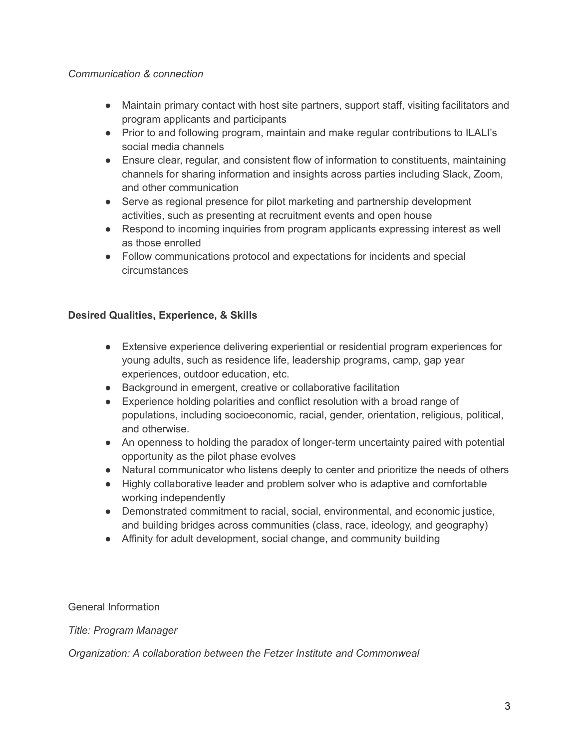### *Communication & connection*

- Maintain primary contact with host site partners, support staff, visiting facilitators and program applicants and participants
- Prior to and following program, maintain and make regular contributions to ILALI's social media channels
- Ensure clear, regular, and consistent flow of information to constituents, maintaining channels for sharing information and insights across parties including Slack, Zoom, and other communication
- Serve as regional presence for pilot marketing and partnership development activities, such as presenting at recruitment events and open house
- Respond to incoming inquiries from program applicants expressing interest as well as those enrolled
- Follow communications protocol and expectations for incidents and special circumstances

## **Desired Qualities, Experience, & Skills**

- Extensive experience delivering experiential or residential program experiences for young adults, such as residence life, leadership programs, camp, gap year experiences, outdoor education, etc.
- Background in emergent, creative or collaborative facilitation
- Experience holding polarities and conflict resolution with a broad range of populations, including socioeconomic, racial, gender, orientation, religious, political, and otherwise.
- An openness to holding the paradox of longer-term uncertainty paired with potential opportunity as the pilot phase evolves
- Natural communicator who listens deeply to center and prioritize the needs of others
- Highly collaborative leader and problem solver who is adaptive and comfortable working independently
- Demonstrated commitment to racial, social, environmental, and economic justice, and building bridges across communities (class, race, ideology, and geography)
- Affinity for adult development, social change, and community building

General Information

*Title: Program Manager*

*Organization: A collaboration between the Fetzer Institute and Commonweal*